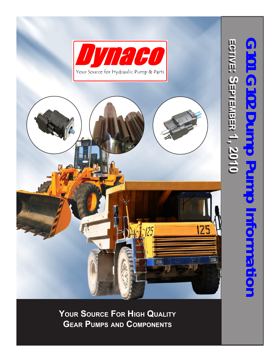

**Your Source For Hig h Qualit y Gear Pumps and Com ponent s**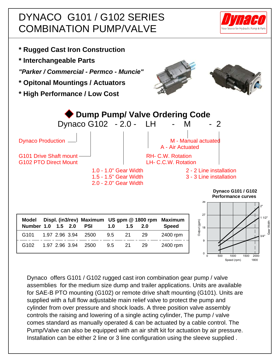### DYNACO G101 / G102 SERIES COMBINATION PUMP/VALVE





Dynaco offers G101 / G102 rugged cast iron combination gear pump / valve assemblies for the medium size dump and trailer applications. Units are available for SAE-B PTO mounting (G102) or remote drive shaft mounting (G101). Units are supplied with a full flow adjustable main relief valve to protect the pump and cylinder from over pressure and shock loads. A three position valve assembly controls the raising and lowering of a single acting cylinder, The pump / valve comes standard as manually operated & can be actuated by a cable control. The Pump/Valve can also be equipped with an air shift kit for actuation by air pressure. Installation can be either 2 line or 3 line configuration using the sleeve supplied .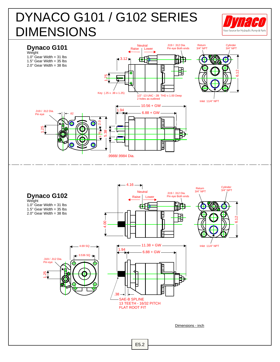# DYNACO G101 / G102 SERIES DIMENSIONS



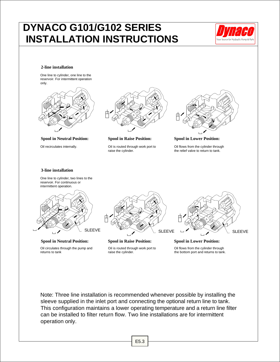### **DYNACO G101/G102 SERIES INSTALLATION INSTRUCTIONS**



### **2-line installation**

One line to cylinder, one line to the reservoir. For intermittent operation only.



**Spool in Neutral Position: Spool in Raise Position: Spool in Lower Position:**



Oil recirculates internally. Oil is routed through work port to raise the cylinder.



Oil flows from the cylinder through the relief valve to return to tank.

### **3-line installation**

One line to cylinder, two lines to the reservoir. For continuous or intermittent operation.







Oil is routed through work port to raise the cylinder.

SLEEVE SLEEVE SLEEVE SLEEVE

Oil flows from the cylinder through

the bottom port and returns to tank.

Note: Three line installation is recommended whenever possible by installing the sleeve supplied in the inlet port and connecting the optional return line to tank. This configuration maintains a lower operating temperature and a return line filter can be installed to filter return flow. Two line installations are for intermittent operation only.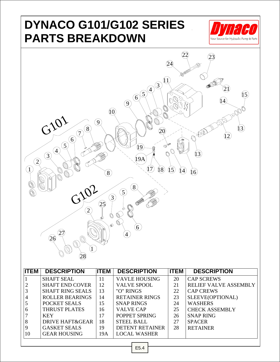## **DYNACO G101/G102 SERIES PARTS BREAKDOWN**





| 11 E.W | <b>DESURIPTIUN</b>         | 11 E.W | <b>DESURIPTIUN</b>     | 11 C.W | <b>DESURIPTIUN</b>           |
|--------|----------------------------|--------|------------------------|--------|------------------------------|
|        | <b>SHAFT SEAL</b>          | 11     | <b>VAVLE HOUSING</b>   | 20     | <b>CAP SCREWS</b>            |
|        | <b>SHAFT END COVER</b>     | 12     | <b>VALVE SPOOL</b>     | 21     | <b>RELIEF VALVE ASSEMBLY</b> |
|        | <b>SHAFT RING SEALS</b>    | 13     | "O" RINGS              | 22     | <b>CAP CREWS</b>             |
| 4      | <b>ROLLER BEARINGS</b>     | 14     | <b>RETAINER RINGS</b>  | 23     | SLEEVE(OPTIONAL)             |
|        | POCKET SEALS               | 15     | <b>SNAP RINGS</b>      | 24     | <b>WASHERS</b>               |
| 6      | <b>THRUST PLATES</b>       | 16     | <b>VALVE CAP</b>       | 25     | <b>CHECK ASSEMBLY</b>        |
|        | <b>KEY</b>                 | 17     | POPPET SPRING          | 26     | <b>SNAP RING</b>             |
| 8      | <b>DRIVE HAFT&amp;GEAR</b> | 18     | <b>STEEL BALL</b>      | 27     | <b>SPACER</b>                |
| 9      | <b>GASKET SEALS</b>        | 19     | <b>DETENT RETAINER</b> | 28     | <b>RETAINER</b>              |
| 10     | <b>GEAR HOUSING</b>        | 19A    | <b>LOCAL WASHER</b>    |        |                              |